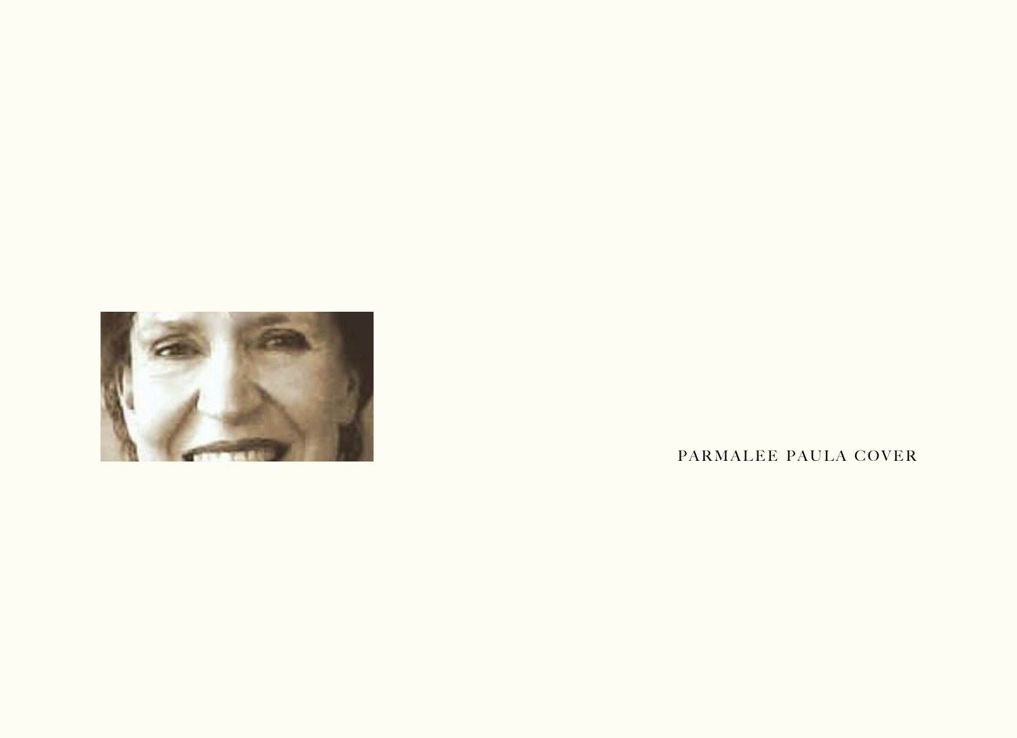

PARMALEE PAULA COVER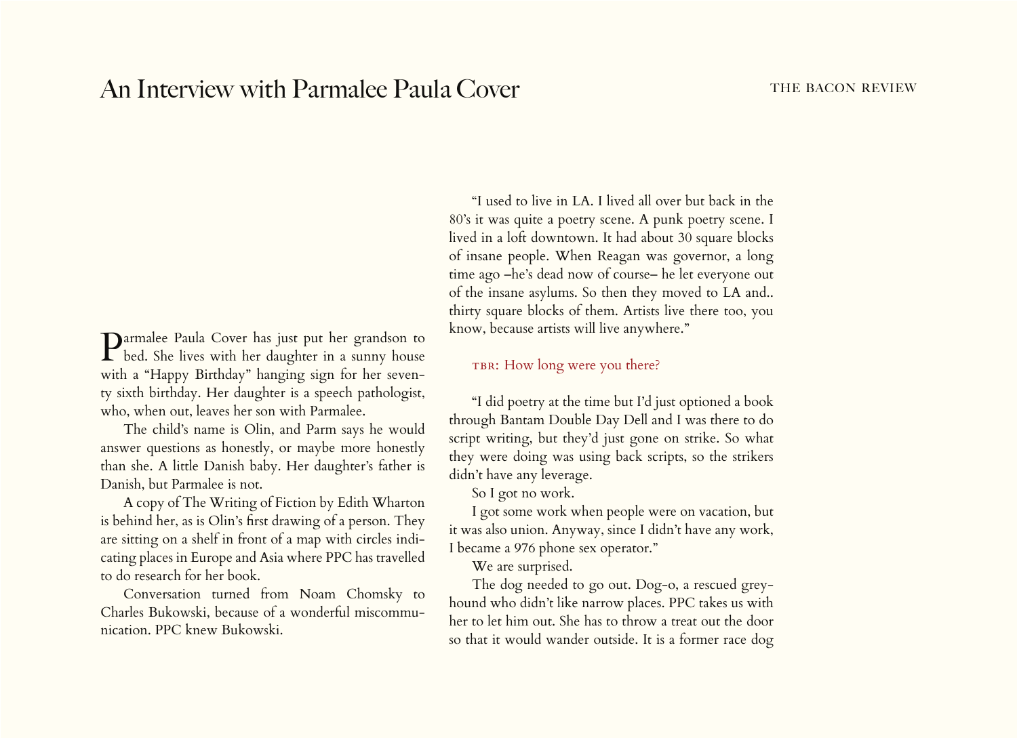# An Interview with Parmalee Paula Cover THE BACON REVIEW

Parmalee Paula Cover has just put her grandson to bed. She lives with her daughter in a sunny house with a "Happy Birthday" hanging sign for her seventy sixth birthday. Her daughter is a speech pathologist, who, when out, leaves her son with Parmalee.

The child's name is Olin, and Parm says he would answer questions as honestly, or maybe more honestly than she. A little Danish baby. Her daughter's father is Danish, but Parmalee is not.

A copy of The Writing of Fiction by Edith Wharton is behind her, as is Olin's first drawing of a person. They are sitting on a shelf in front of a map with circles indicating places in Europe and Asia where PPC has travelled to do research for her book.

Conversation turned from Noam Chomsky to Charles Bukowski, because of a wonderful miscommunication. PPC knew Bukowski.

"I used to live in LA. I lived all over but back in the 80's it was quite a poetry scene. A punk poetry scene. I lived in a loft downtown. It had about 30 square blocks of insane people. When Reagan was governor, a long time ago –he's dead now of course– he let everyone out of the insane asylums. So then they moved to LA and.. thirty square blocks of them. Artists live there too, you know, because artists will live anywhere."

## TBR: How long were you there?

"I did poetry at the time but I'd just optioned a book through Bantam Double Day Dell and I was there to do script writing, but they'd just gone on strike. So what they were doing was using back scripts, so the strikers didn't have any leverage.

So I got no work.

I got some work when people were on vacation, but it was also union. Anyway, since I didn't have any work, I became a 976 phone sex operator."

We are surprised.

The dog needed to go out. Dog-o, a rescued greyhound who didn't like narrow places. PPC takes us with her to let him out. She has to throw a treat out the door so that it would wander outside. It is a former race dog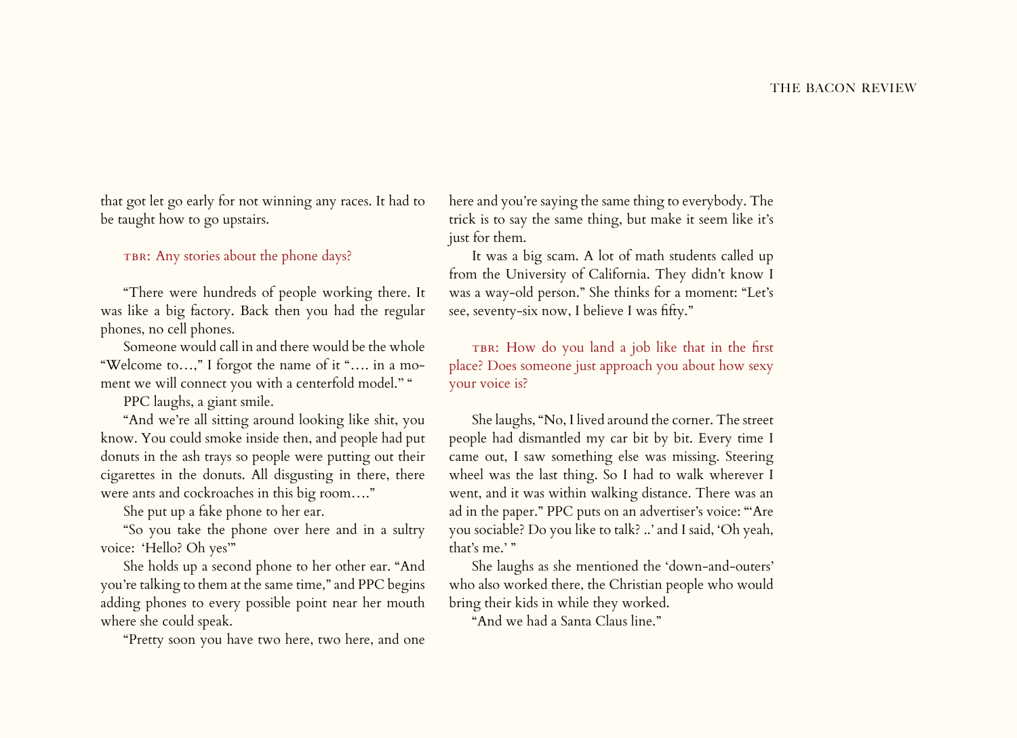that got let go early for not winning any races. It had to be taught how to go upstairs.

## TBR: Any stories about the phone days?

"There were hundreds of people working there. It was like a big factory. Back then you had the regular phones, no cell phones.

Someone would call in and there would be the whole "Welcome to…," I forgot the name of it "…. in a moment we will connect you with a centerfold model." "

PPC laughs, a giant smile.

"And we're all sitting around looking like shit, you know. You could smoke inside then, and people had put donuts in the ash trays so people were putting out their cigarettes in the donuts. All disgusting in there, there were ants and cockroaches in this big room…."

She put up a fake phone to her ear.

"So you take the phone over here and in a sultry voice: 'Hello? Oh yes'"

She holds up a second phone to her other ear. "And you're talking to them at the same time," and PPC begins adding phones to every possible point near her mouth where she could speak.

"Pretty soon you have two here, two here, and one

here and you're saying the same thing to everybody. The trick is to say the same thing, but make it seem like it's just for them.

It was a big scam. A lot of math students called up from the University of California. They didn't know I was a way-old person." She thinks for a moment: "Let's see, seventy-six now, I believe I was fifty."

TBR: How do you land a job like that in the first place? Does someone just approach you about how sexy your voice is?

She laughs, "No, I lived around the corner. The street people had dismantled my car bit by bit. Every time I came out, I saw something else was missing. Steering wheel was the last thing. So I had to walk wherever I went, and it was within walking distance. There was an ad in the paper." PPC puts on an advertiser's voice: "'Are you sociable? Do you like to talk? ..' and I said, 'Oh yeah, that's me.' "

She laughs as she mentioned the 'down-and-outers' who also worked there, the Christian people who would bring their kids in while they worked.

"And we had a Santa Claus line."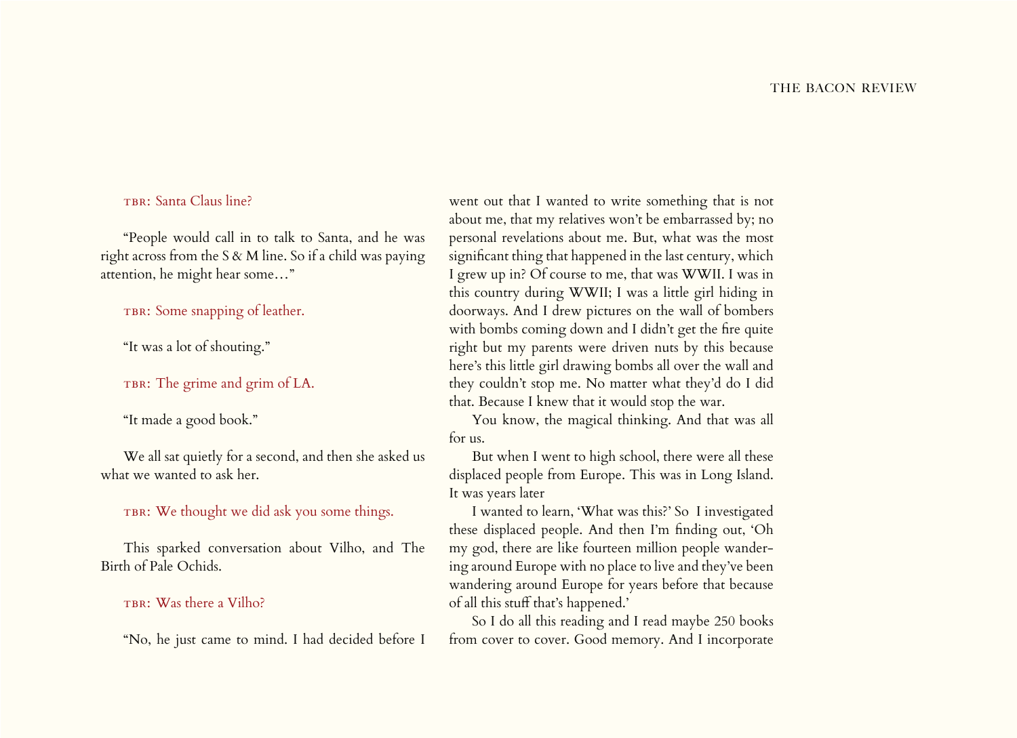# TBR: Santa Claus line?

"People would call in to talk to Santa, and he was right across from the S & M line. So if a child was paying attention, he might hear some…"

TBR: Some snapping of leather.

"It was a lot of shouting."

TBR: The grime and grim of LA.

"It made a good book."

We all sat quietly for a second, and then she asked us what we wanted to ask her.

# TBR: We thought we did ask you some things.

This sparked conversation about Vilho, and The Birth of Pale Ochids.

#### TBR: Was there a Vilho?

"No, he just came to mind. I had decided before I

went out that I wanted to write something that is not about me, that my relatives won't be embarrassed by; no personal revelations about me. But, what was the most significant thing that happened in the last century, which I grew up in? Of course to me, that was WWII. I was in this country during WWII; I was a little girl hiding in doorways. And I drew pictures on the wall of bombers with bombs coming down and I didn't get the fire quite right but my parents were driven nuts by this because here's this little girl drawing bombs all over the wall and they couldn't stop me. No matter what they'd do I did that. Because I knew that it would stop the war.

You know, the magical thinking. And that was all for us.

But when I went to high school, there were all these displaced people from Europe. This was in Long Island. It was years later

I wanted to learn, 'What was this?' So I investigated these displaced people. And then I'm finding out, 'Oh my god, there are like fourteen million people wandering around Europe with no place to live and they've been wandering around Europe for years before that because of all this stuff that's happened.'

So I do all this reading and I read maybe 250 books from cover to cover. Good memory. And I incorporate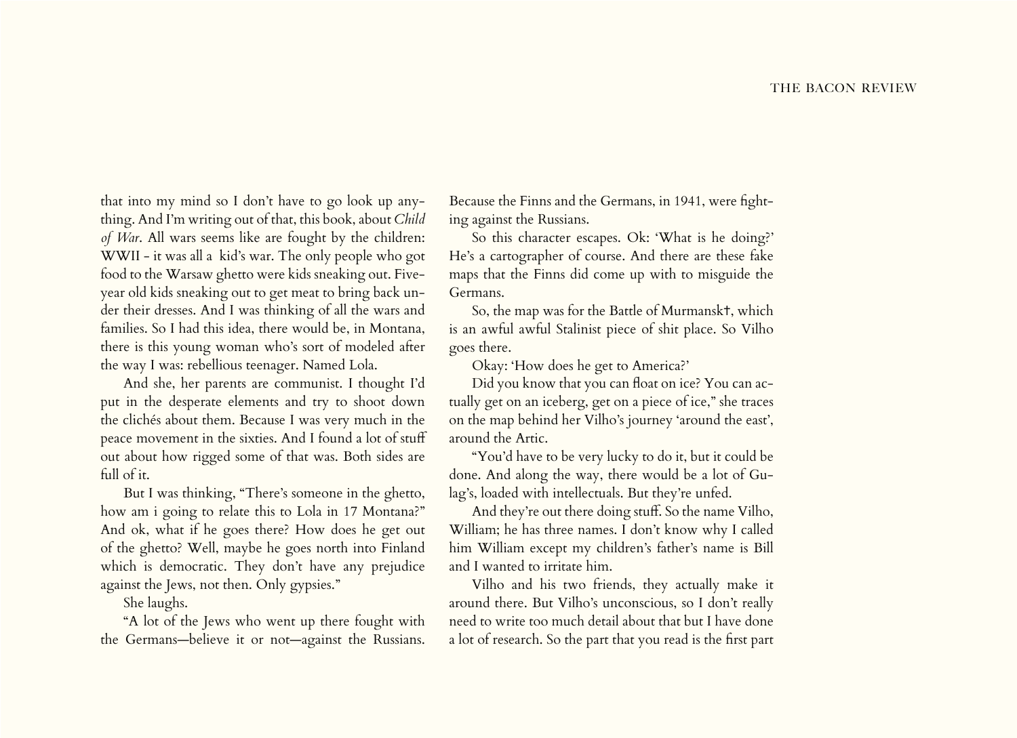that into my mind so I don't have to go look up anything. And I'm writing out of that, this book, about *Child of War*. All wars seems like are fought by the children: WWII - it was all a kid's war. The only people who got food to the Warsaw ghetto were kids sneaking out. Fiveyear old kids sneaking out to get meat to bring back under their dresses. And I was thinking of all the wars and families. So I had this idea, there would be, in Montana, there is this young woman who's sort of modeled after the way I was: rebellious teenager. Named Lola.

And she, her parents are communist. I thought I'd put in the desperate elements and try to shoot down the clichés about them. Because I was very much in the peace movement in the sixties. And I found a lot of stuff out about how rigged some of that was. Both sides are full of it.

But I was thinking, "There's someone in the ghetto, how am i going to relate this to Lola in 17 Montana?" And ok, what if he goes there? How does he get out of the ghetto? Well, maybe he goes north into Finland which is democratic. They don't have any prejudice against the Jews, not then. Only gypsies."

She laughs.

"A lot of the Jews who went up there fought with the Germans—believe it or not—against the Russians.

Because the Finns and the Germans, in 1941, were fighting against the Russians.

So this character escapes. Ok: 'What is he doing?' He's a cartographer of course. And there are these fake maps that the Finns did come up with to misguide the Germans.

So, the map was for the Battle of Murmansk✝, which is an awful awful Stalinist piece of shit place. So Vilho goes there.

Okay: 'How does he get to America?'

Did you know that you can float on ice? You can actually get on an iceberg, get on a piece of ice," she traces on the map behind her Vilho's journey 'around the east', around the Artic.

"You'd have to be very lucky to do it, but it could be done. And along the way, there would be a lot of Gulag's, loaded with intellectuals. But they're unfed.

And they're out there doing stuff. So the name Vilho, William; he has three names. I don't know why I called him William except my children's father's name is Bill and I wanted to irritate him.

Vilho and his two friends, they actually make it around there. But Vilho's unconscious, so I don't really need to write too much detail about that but I have done a lot of research. So the part that you read is the first part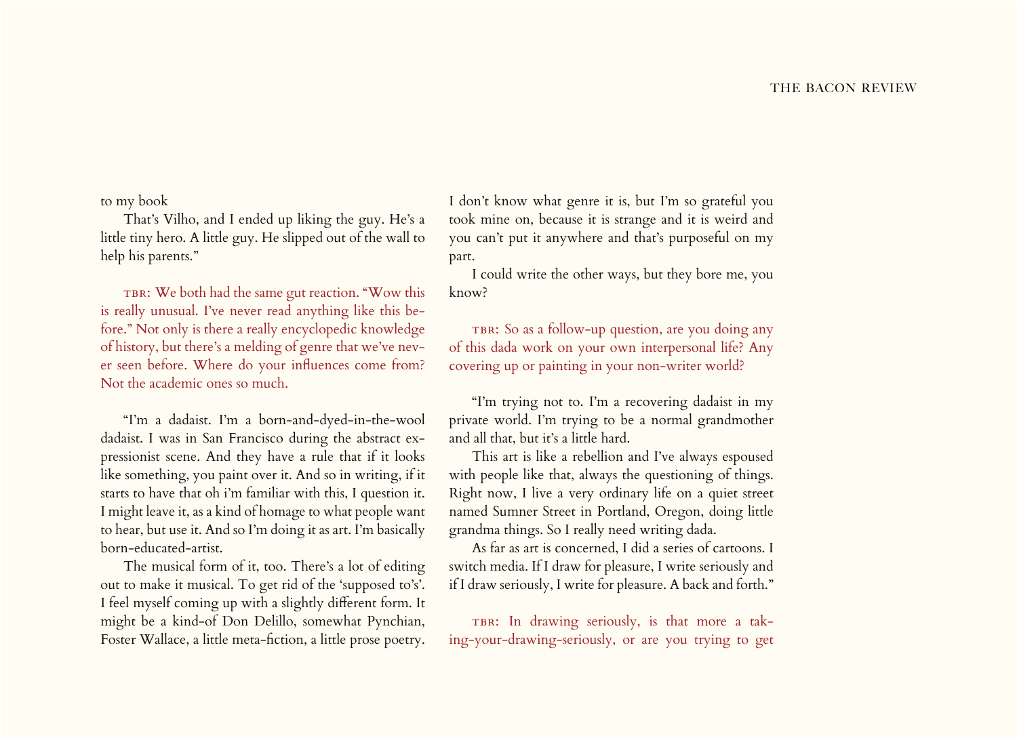to my book

That's Vilho, and I ended up liking the guy. He's a little tiny hero. A little guy. He slipped out of the wall to help his parents."

TBR: We both had the same gut reaction. "Wow this is really unusual. I've never read anything like this before." Not only is there a really encyclopedic knowledge of history, but there's a melding of genre that we've never seen before. Where do your influences come from? Not the academic ones so much.

"I'm a dadaist. I'm a born-and-dyed-in-the-wool dadaist. I was in San Francisco during the abstract expressionist scene. And they have a rule that if it looks like something, you paint over it. And so in writing, if it starts to have that oh i'm familiar with this, I question it. I might leave it, as a kind of homage to what people want to hear, but use it. And so I'm doing it as art. I'm basically born-educated-artist.

The musical form of it, too. There's a lot of editing out to make it musical. To get rid of the 'supposed to's'. I feel myself coming up with a slightly different form. It might be a kind-of Don Delillo, somewhat Pynchian, Foster Wallace, a little meta-fiction, a little prose poetry.

I don't know what genre it is, but I'm so grateful you took mine on, because it is strange and it is weird and you can't put it anywhere and that's purposeful on my part.

I could write the other ways, but they bore me, you know?

TBR: So as a follow-up question, are you doing any of this dada work on your own interpersonal life? Any covering up or painting in your non-writer world?

"I'm trying not to. I'm a recovering dadaist in my private world. I'm trying to be a normal grandmother and all that, but it's a little hard.

This art is like a rebellion and I've always espoused with people like that, always the questioning of things. Right now, I live a very ordinary life on a quiet street named Sumner Street in Portland, Oregon, doing little grandma things. So I really need writing dada.

As far as art is concerned, I did a series of cartoons. I switch media. If I draw for pleasure, I write seriously and if I draw seriously, I write for pleasure. A back and forth."

TBR: In drawing seriously, is that more a taking-your-drawing-seriously, or are you trying to get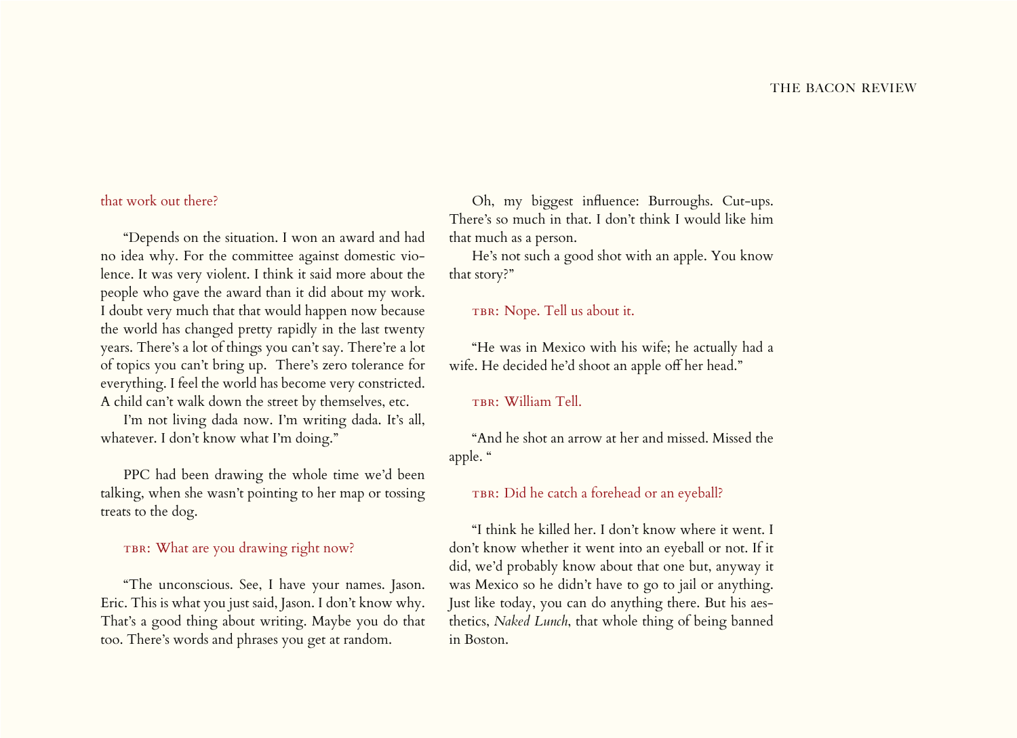# that work out there?

"Depends on the situation. I won an award and had no idea why. For the committee against domestic violence. It was very violent. I think it said more about the people who gave the award than it did about my work. I doubt very much that that would happen now because the world has changed pretty rapidly in the last twenty years. There's a lot of things you can't say. There're a lot of topics you can't bring up. There's zero tolerance for everything. I feel the world has become very constricted. A child can't walk down the street by themselves, etc.

I'm not living dada now. I'm writing dada. It's all, whatever. I don't know what I'm doing."

PPC had been drawing the whole time we'd been talking, when she wasn't pointing to her map or tossing treats to the dog.

# TBR: What are you drawing right now?

"The unconscious. See, I have your names. Jason. Eric. This is what you just said, Jason. I don't know why. That's a good thing about writing. Maybe you do that too. There's words and phrases you get at random.

Oh, my biggest influence: Burroughs. Cut-ups. There's so much in that. I don't think I would like him that much as a person.

He's not such a good shot with an apple. You know that story?"

## TBR: Nope. Tell us about it.

"He was in Mexico with his wife; he actually had a wife. He decided he'd shoot an apple off her head."

# TBR: William Tell.

"And he shot an arrow at her and missed. Missed the apple. "

#### TBR: Did he catch a forehead or an eyeball?

"I think he killed her. I don't know where it went. I don't know whether it went into an eyeball or not. If it did, we'd probably know about that one but, anyway it was Mexico so he didn't have to go to jail or anything. Just like today, you can do anything there. But his aesthetics, *Naked Lunch*, that whole thing of being banned in Boston.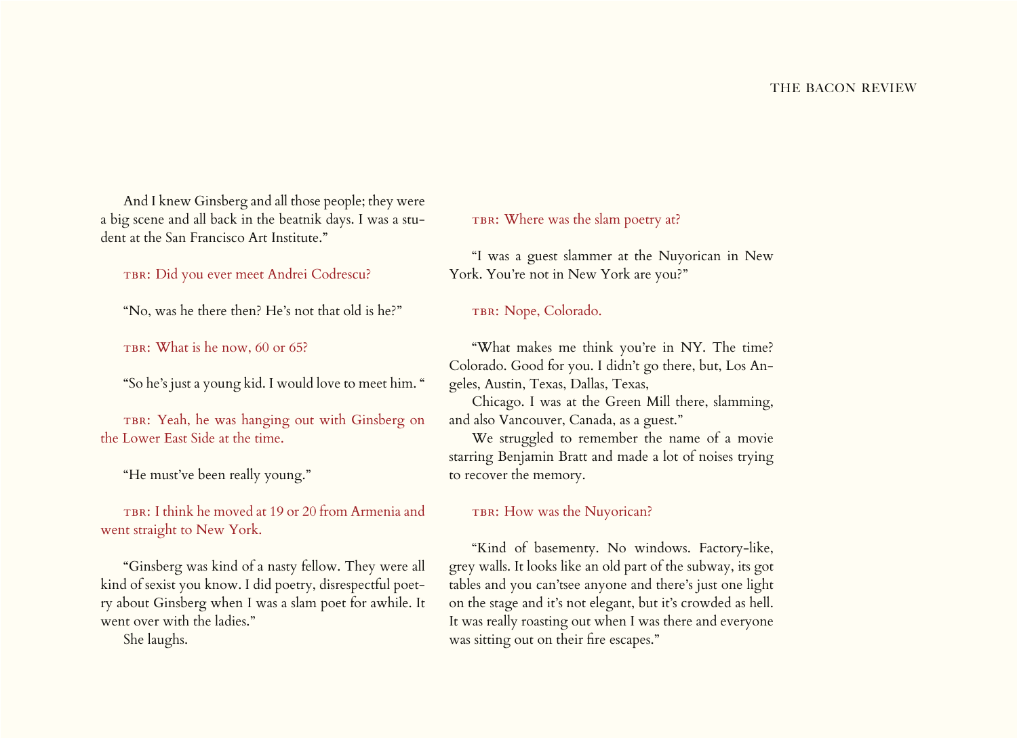And I knew Ginsberg and all those people; they were a big scene and all back in the beatnik days. I was a student at the San Francisco Art Institute."

TBR: Did you ever meet Andrei Codrescu?

"No, was he there then? He's not that old is he?"

TBR: What is he now, 60 or 65?

"So he's just a young kid. I would love to meet him. "

TBR: Yeah, he was hanging out with Ginsberg on the Lower East Side at the time.

"He must've been really young."

TBR: I think he moved at 19 or 20 from Armenia and went straight to New York.

"Ginsberg was kind of a nasty fellow. They were all kind of sexist you know. I did poetry, disrespectful poetry about Ginsberg when I was a slam poet for awhile. It went over with the ladies."

She laughs.

TBR: Where was the slam poetry at?

"I was a guest slammer at the Nuyorican in New York. You're not in New York are you?"

TBR: Nope, Colorado.

"What makes me think you're in NY. The time? Colorado. Good for you. I didn't go there, but, Los Angeles, Austin, Texas, Dallas, Texas,

Chicago. I was at the Green Mill there, slamming, and also Vancouver, Canada, as a guest."

We struggled to remember the name of a movie starring Benjamin Bratt and made a lot of noises trying to recover the memory.

## TBR: How was the Nuyorican?

"Kind of basementy. No windows. Factory-like, grey walls. It looks like an old part of the subway, its got tables and you can'tsee anyone and there's just one light on the stage and it's not elegant, but it's crowded as hell. It was really roasting out when I was there and everyone was sitting out on their fire escapes."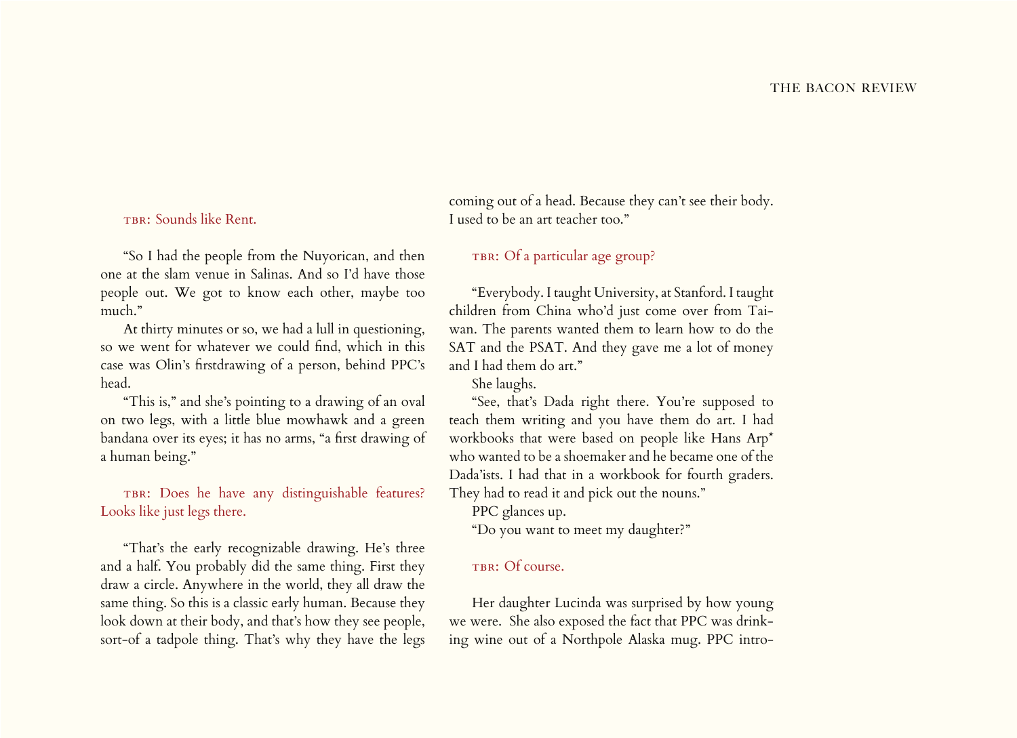# TBR: Sounds like Rent.

"So I had the people from the Nuyorican, and then one at the slam venue in Salinas. And so I'd have those people out. We got to know each other, maybe too much."

At thirty minutes or so, we had a lull in questioning, so we went for whatever we could find, which in this case was Olin's firstdrawing of a person, behind PPC's head.

"This is," and she's pointing to a drawing of an oval on two legs, with a little blue mowhawk and a green bandana over its eyes; it has no arms, "a first drawing of a human being."

TBR: Does he have any distinguishable features? Looks like just legs there.

"That's the early recognizable drawing. He's three and a half. You probably did the same thing. First they draw a circle. Anywhere in the world, they all draw the same thing. So this is a classic early human. Because they look down at their body, and that's how they see people, sort-of a tadpole thing. That's why they have the legs

coming out of a head. Because they can't see their body. I used to be an art teacher too."

## TBR: Of a particular age group?

"Everybody. I taught University, at Stanford. I taught children from China who'd just come over from Taiwan. The parents wanted them to learn how to do the SAT and the PSAT. And they gave me a lot of money and I had them do art."

She laughs.

"See, that's Dada right there. You're supposed to teach them writing and you have them do art. I had workbooks that were based on people like Hans Arp\* who wanted to be a shoemaker and he became one of the Dada'ists. I had that in a workbook for fourth graders. They had to read it and pick out the nouns."

PPC glances up.

"Do you want to meet my daughter?"

## TBR: Of course.

Her daughter Lucinda was surprised by how young we were. She also exposed the fact that PPC was drinking wine out of a Northpole Alaska mug. PPC intro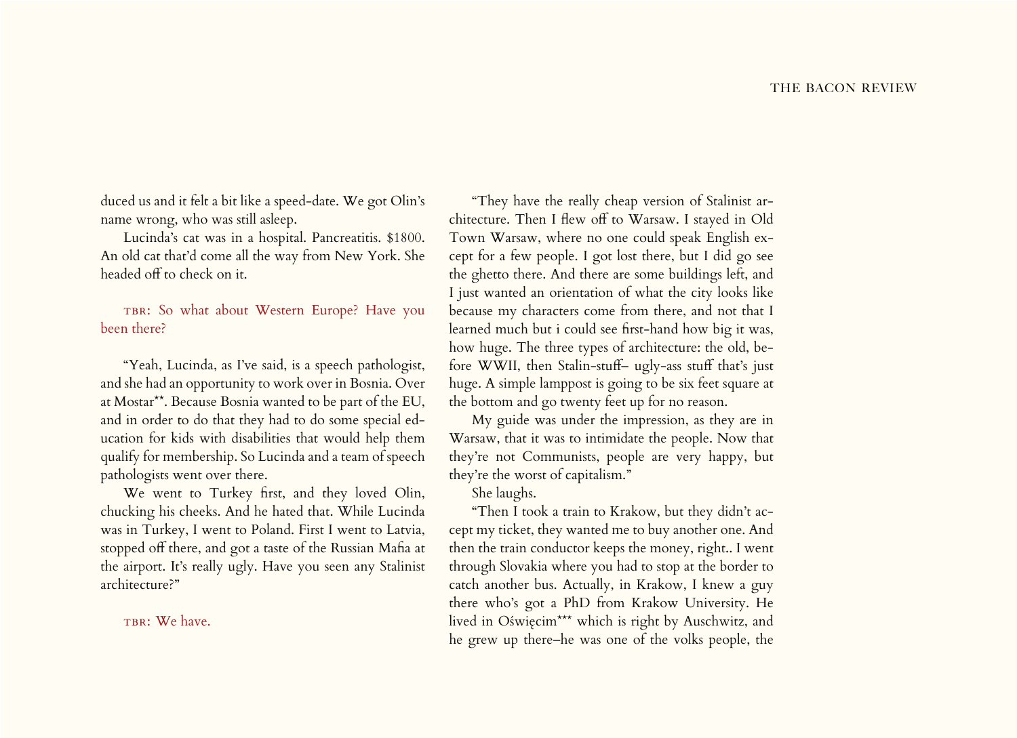duced us and it felt a bit like a speed-date. We got Olin's name wrong, who was still asleep.

Lucinda's cat was in a hospital. Pancreatitis. \$1800. An old cat that'd come all the way from New York. She headed off to check on it.

TBR: So what about Western Europe? Have you been there?

"Yeah, Lucinda, as I've said, is a speech pathologist, and she had an opportunity to work over in Bosnia. Over at Mostar\*\*. Because Bosnia wanted to be part of the EU, and in order to do that they had to do some special education for kids with disabilities that would help them qualify for membership. So Lucinda and a team of speech pathologists went over there.

We went to Turkey first, and they loved Olin, chucking his cheeks. And he hated that. While Lucinda was in Turkey, I went to Poland. First I went to Latvia, stopped off there, and got a taste of the Russian Mafia at the airport. It's really ugly. Have you seen any Stalinist architecture?"

TBR: We have.

"They have the really cheap version of Stalinist architecture. Then I flew off to Warsaw. I stayed in Old Town Warsaw, where no one could speak English except for a few people. I got lost there, but I did go see the ghetto there. And there are some buildings left, and I just wanted an orientation of what the city looks like because my characters come from there, and not that I learned much but i could see first-hand how big it was, how huge. The three types of architecture: the old, before WWII, then Stalin-stuff– ugly-ass stuff that's just huge. A simple lamppost is going to be six feet square at the bottom and go twenty feet up for no reason.

My guide was under the impression, as they are in Warsaw, that it was to intimidate the people. Now that they're not Communists, people are very happy, but they're the worst of capitalism."

She laughs.

"Then I took a train to Krakow, but they didn't accept my ticket, they wanted me to buy another one. And then the train conductor keeps the money, right.. I went through Slovakia where you had to stop at the border to catch another bus. Actually, in Krakow, I knew a guy there who's got a PhD from Krakow University. He lived in Oświęcim\*\*\* which is right by Auschwitz, and he grew up there–he was one of the volks people, the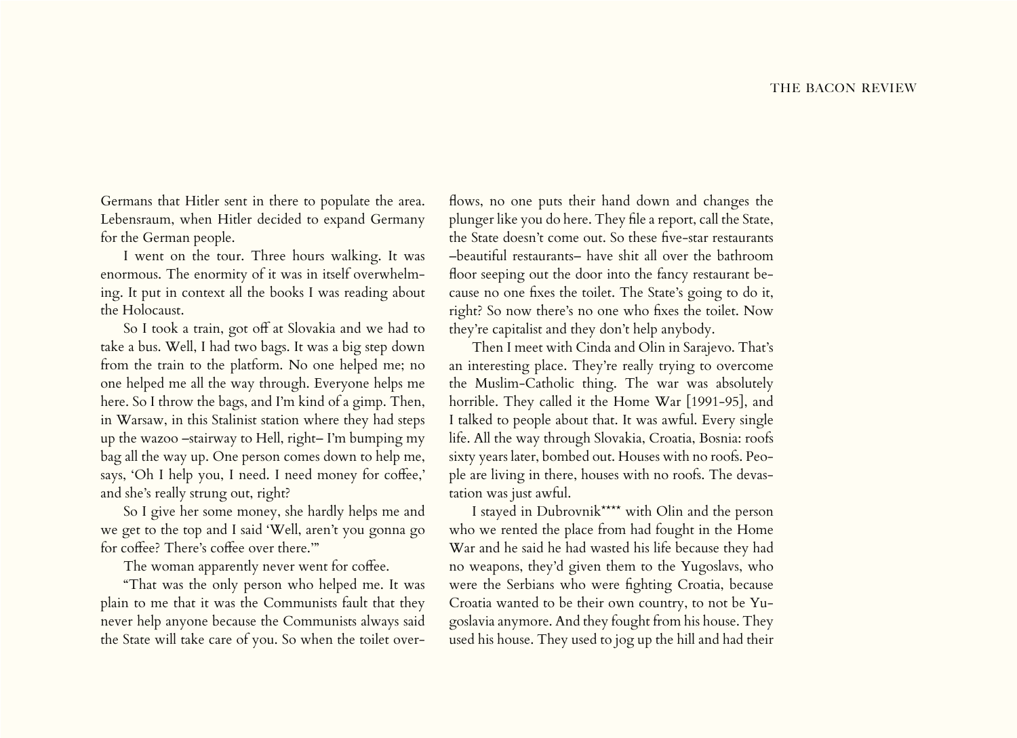Germans that Hitler sent in there to populate the area. Lebensraum, when Hitler decided to expand Germany for the German people.

I went on the tour. Three hours walking. It was enormous. The enormity of it was in itself overwhelming. It put in context all the books I was reading about the Holocaust.

So I took a train, got off at Slovakia and we had to take a bus. Well, I had two bags. It was a big step down from the train to the platform. No one helped me; no one helped me all the way through. Everyone helps me here. So I throw the bags, and I'm kind of a gimp. Then, in Warsaw, in this Stalinist station where they had steps up the wazoo –stairway to Hell, right– I'm bumping my bag all the way up. One person comes down to help me, says, 'Oh I help you, I need. I need money for coffee,' and she's really strung out, right?

So I give her some money, she hardly helps me and we get to the top and I said 'Well, aren't you gonna go for coffee? There's coffee over there.'"

The woman apparently never went for coffee.

"That was the only person who helped me. It was plain to me that it was the Communists fault that they never help anyone because the Communists always said the State will take care of you. So when the toilet over-

flows, no one puts their hand down and changes the plunger like you do here. They file a report, call the State, the State doesn't come out. So these five-star restaurants –beautiful restaurants– have shit all over the bathroom floor seeping out the door into the fancy restaurant because no one fixes the toilet. The State's going to do it, right? So now there's no one who fixes the toilet. Now they're capitalist and they don't help anybody.

Then I meet with Cinda and Olin in Sarajevo. That's an interesting place. They're really trying to overcome the Muslim-Catholic thing. The war was absolutely horrible. They called it the Home War [1991-95], and I talked to people about that. It was awful. Every single life. All the way through Slovakia, Croatia, Bosnia: roofs sixty years later, bombed out. Houses with no roofs. People are living in there, houses with no roofs. The devastation was just awful.

I stayed in Dubrovnik\*\*\*\* with Olin and the person who we rented the place from had fought in the Home War and he said he had wasted his life because they had no weapons, they'd given them to the Yugoslavs, who were the Serbians who were fighting Croatia, because Croatia wanted to be their own country, to not be Yugoslavia anymore. And they fought from his house. They used his house. They used to jog up the hill and had their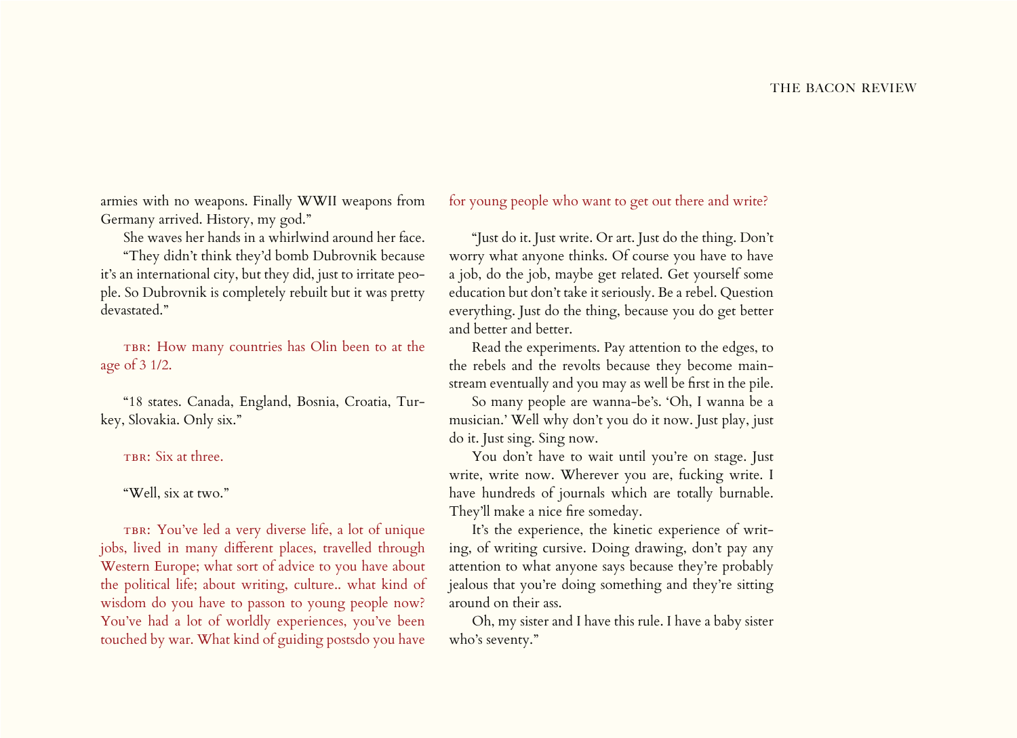armies with no weapons. Finally WWII weapons from Germany arrived. History, my god."

She waves her hands in a whirlwind around her face.

"They didn't think they'd bomb Dubrovnik because it's an international city, but they did, just to irritate people. So Dubrovnik is completely rebuilt but it was pretty devastated."

TBR: How many countries has Olin been to at the age of 3 1/2.

"18 states. Canada, England, Bosnia, Croatia, Turkey, Slovakia. Only six."

TBR: Six at three.

"Well, six at two."

TBR: You've led a very diverse life, a lot of unique jobs, lived in many different places, travelled through Western Europe; what sort of advice to you have about the political life; about writing, culture.. what kind of wisdom do you have to passon to young people now? You've had a lot of worldly experiences, you've been touched by war. What kind of guiding postsdo you have for young people who want to get out there and write?

"Just do it. Just write. Or art. Just do the thing. Don't worry what anyone thinks. Of course you have to have a job, do the job, maybe get related. Get yourself some education but don't take it seriously. Be a rebel. Question everything. Just do the thing, because you do get better and better and better.

Read the experiments. Pay attention to the edges, to the rebels and the revolts because they become mainstream eventually and you may as well be first in the pile.

So many people are wanna-be's. 'Oh, I wanna be a musician.' Well why don't you do it now. Just play, just do it. Just sing. Sing now.

You don't have to wait until you're on stage. Just write, write now. Wherever you are, fucking write. I have hundreds of journals which are totally burnable. They'll make a nice fire someday.

It's the experience, the kinetic experience of writing, of writing cursive. Doing drawing, don't pay any attention to what anyone says because they're probably jealous that you're doing something and they're sitting around on their ass.

Oh, my sister and I have this rule. I have a baby sister who's seventy."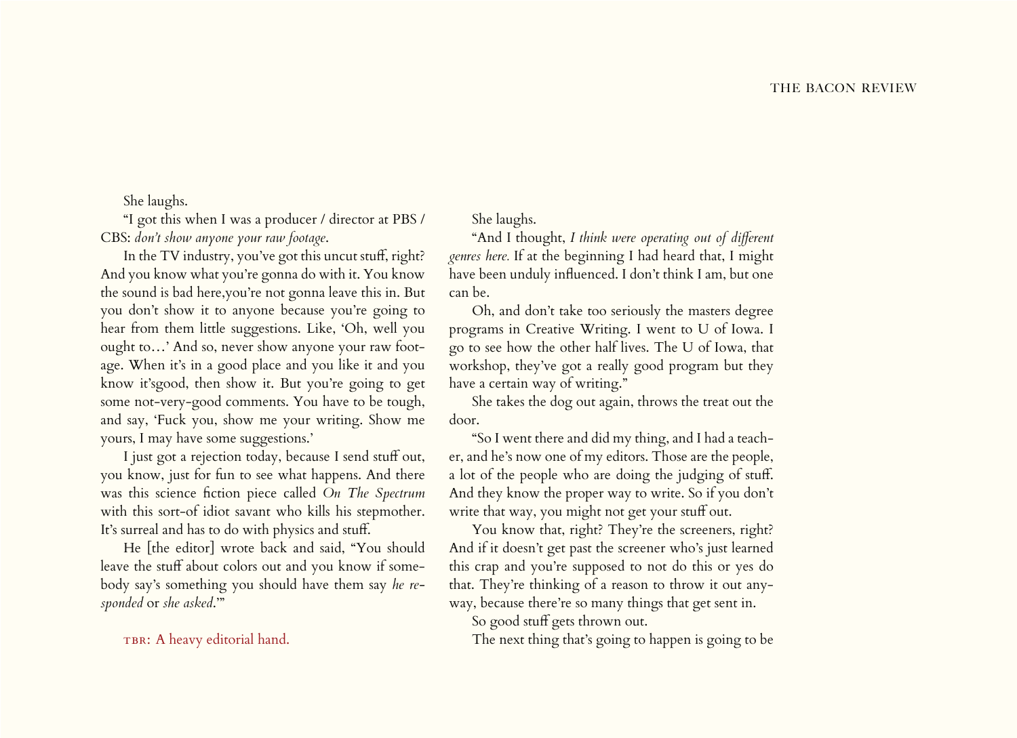She laughs.

"I got this when I was a producer / director at PBS / CBS: *don't show anyone your raw footage*.

In the TV industry, you've got this uncut stuff, right? And you know what you're gonna do with it. You know the sound is bad here,you're not gonna leave this in. But you don't show it to anyone because you're going to hear from them little suggestions. Like, 'Oh, well you ought to…' And so, never show anyone your raw footage. When it's in a good place and you like it and you know it'sgood, then show it. But you're going to get some not-very-good comments. You have to be tough, and say, 'Fuck you, show me your writing. Show me yours, I may have some suggestions.'

I just got a rejection today, because I send stuff out, you know, just for fun to see what happens. And there was this science fiction piece called *On The Spectrum*  with this sort-of idiot savant who kills his stepmother. It's surreal and has to do with physics and stuff.

He [the editor] wrote back and said, "You should leave the stuff about colors out and you know if somebody say's something you should have them say *he responded* or *she asked*.'"

TBR: A heavy editorial hand.

She laughs.

"And I thought, *I think were operating out of different genres here.* If at the beginning I had heard that, I might have been unduly influenced. I don't think I am, but one can be.

Oh, and don't take too seriously the masters degree programs in Creative Writing. I went to U of Iowa. I go to see how the other half lives. The U of Iowa, that workshop, they've got a really good program but they have a certain way of writing."

She takes the dog out again, throws the treat out the door.

"So I went there and did my thing, and I had a teacher, and he's now one of my editors. Those are the people, a lot of the people who are doing the judging of stuff. And they know the proper way to write. So if you don't write that way, you might not get your stuff out.

You know that, right? They're the screeners, right? And if it doesn't get past the screener who's just learned this crap and you're supposed to not do this or yes do that. They're thinking of a reason to throw it out anyway, because there're so many things that get sent in.

So good stuff gets thrown out.

The next thing that's going to happen is going to be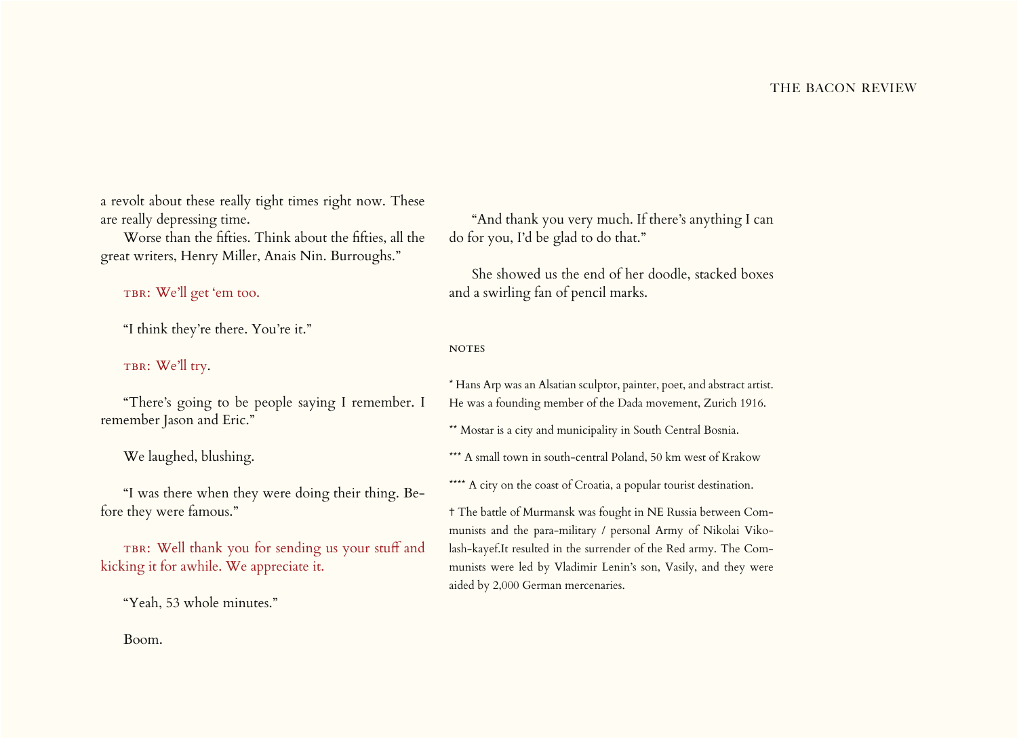a revolt about these really tight times right now. These are really depressing time.

Worse than the fifties. Think about the fifties, all the great writers, Henry Miller, Anais Nin. Burroughs."

TBR: We'll get 'em too.

"I think they're there. You're it."

TBR: We'll try.

"There's going to be people saying I remember. I remember Jason and Eric."

We laughed, blushing.

"I was there when they were doing their thing. Before they were famous."

TBR: Well thank you for sending us your stuff and kicking it for awhile. We appreciate it.

"Yeah, 53 whole minutes."

"And thank you very much. If there's anything I can do for you, I'd be glad to do that."

She showed us the end of her doodle, stacked boxes and a swirling fan of pencil marks.

**NOTES** 

\* Hans Arp was an Alsatian sculptor, painter, poet, and abstract artist. He was a founding member of the Dada movement, Zurich 1916.

\*\* Mostar is a city and municipality in South Central Bosnia.

\*\*\* A small town in south-central Poland, 50 km west of Krakow

\*\*\*\* A city on the coast of Croatia, a popular tourist destination.

✝ The battle of Murmansk was fought in NE Russia between Communists and the para-military / personal Army of Nikolai Vikolash-kayef.It resulted in the surrender of the Red army. The Communists were led by Vladimir Lenin's son, Vasily, and they were aided by 2,000 German mercenaries.

Boom.